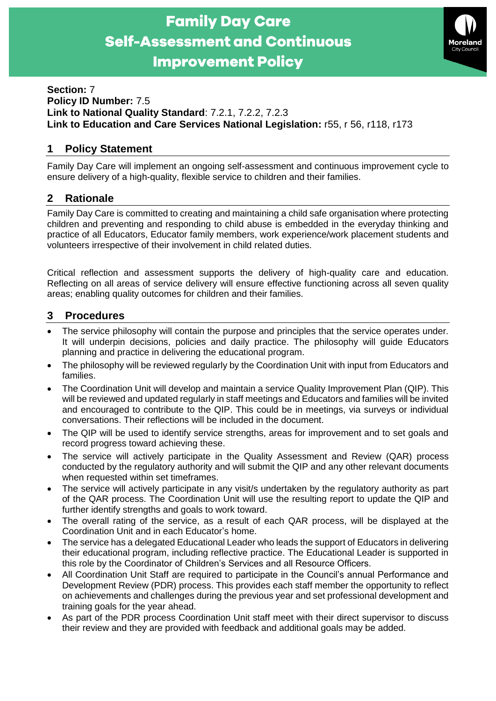



#### **Section:** 7 **Policy ID Number:** 7.5 **Link to National Quality Standard**: 7.2.1, 7.2.2, 7.2.3 **Link to Education and Care Services National Legislation:** r55, r 56, r118, r173

# **1 Policy Statement**

Family Day Care will implement an ongoing self-assessment and continuous improvement cycle to ensure delivery of a high-quality, flexible service to children and their families.

## **2 Rationale**

Family Day Care is committed to creating and maintaining a child safe organisation where protecting children and preventing and responding to child abuse is embedded in the everyday thinking and practice of all Educators, Educator family members, work experience/work placement students and volunteers irrespective of their involvement in child related duties.

Critical reflection and assessment supports the delivery of high-quality care and education. Reflecting on all areas of service delivery will ensure effective functioning across all seven quality areas; enabling quality outcomes for children and their families.

## **3 Procedures**

- The service philosophy will contain the purpose and principles that the service operates under. It will underpin decisions, policies and daily practice. The philosophy will guide Educators planning and practice in delivering the educational program.
- The philosophy will be reviewed regularly by the Coordination Unit with input from Educators and families.
- The Coordination Unit will develop and maintain a service Quality Improvement Plan (QIP). This will be reviewed and updated regularly in staff meetings and Educators and families will be invited and encouraged to contribute to the QIP. This could be in meetings, via surveys or individual conversations. Their reflections will be included in the document.
- The QIP will be used to identify service strengths, areas for improvement and to set goals and record progress toward achieving these.
- The service will actively participate in the Quality Assessment and Review (QAR) process conducted by the regulatory authority and will submit the QIP and any other relevant documents when requested within set timeframes.
- The service will actively participate in any visit/s undertaken by the regulatory authority as part of the QAR process. The Coordination Unit will use the resulting report to update the QIP and further identify strengths and goals to work toward.
- The overall rating of the service, as a result of each QAR process, will be displayed at the Coordination Unit and in each Educator's home.
- The service has a delegated Educational Leader who leads the support of Educators in delivering their educational program, including reflective practice. The Educational Leader is supported in this role by the Coordinator of Children's Services and all Resource Officers.
- All Coordination Unit Staff are required to participate in the Council's annual Performance and Development Review (PDR) process. This provides each staff member the opportunity to reflect on achievements and challenges during the previous year and set professional development and training goals for the year ahead.
- As part of the PDR process Coordination Unit staff meet with their direct supervisor to discuss their review and they are provided with feedback and additional goals may be added.